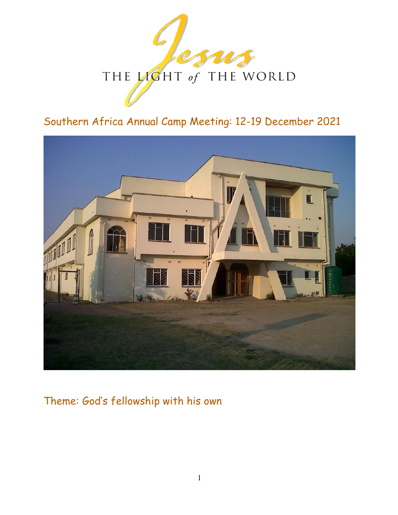

# Southern Africa Annual Camp Meeting: 12-19 December 2021



# Theme: God's fellowship with his own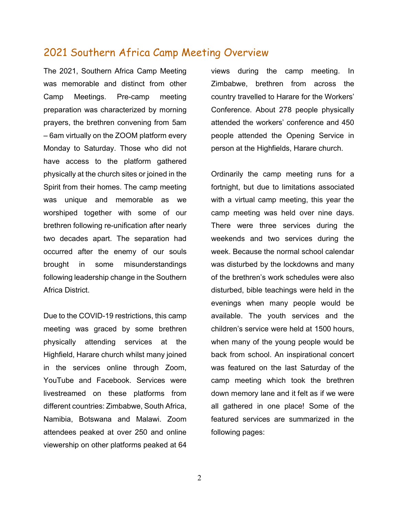### 2021 Southern Africa Camp Meeting Overview

The 2021, Southern Africa Camp Meeting was memorable and distinct from other Camp Meetings. Pre-camp meeting preparation was characterized by morning prayers, the brethren convening from 5am – 6am virtually on the ZOOM platform every Monday to Saturday. Those who did not have access to the platform gathered physically at the church sites or joined in the Spirit from their homes. The camp meeting was unique and memorable as we worshiped together with some of our brethren following re-unification after nearly two decades apart. The separation had occurred after the enemy of our souls brought in some misunderstandings following leadership change in the Southern Africa District.

Due to the COVID-19 restrictions, this camp meeting was graced by some brethren physically attending services at the Highfield, Harare church whilst many joined in the services online through Zoom, YouTube and Facebook. Services were livestreamed on these platforms from different countries: Zimbabwe, South Africa, Namibia, Botswana and Malawi. Zoom attendees peaked at over 250 and online viewership on other platforms peaked at 64 views during the camp meeting. In Zimbabwe, brethren from across the country travelled to Harare for the Workers' Conference. About 278 people physically attended the workers' conference and 450 people attended the Opening Service in person at the Highfields, Harare church.

Ordinarily the camp meeting runs for a fortnight, but due to limitations associated with a virtual camp meeting, this year the camp meeting was held over nine days. There were three services during the weekends and two services during the week. Because the normal school calendar was disturbed by the lockdowns and many of the brethren's work schedules were also disturbed, bible teachings were held in the evenings when many people would be available. The youth services and the children's service were held at 1500 hours, when many of the young people would be back from school. An inspirational concert was featured on the last Saturday of the camp meeting which took the brethren down memory lane and it felt as if we were all gathered in one place! Some of the featured services are summarized in the following pages: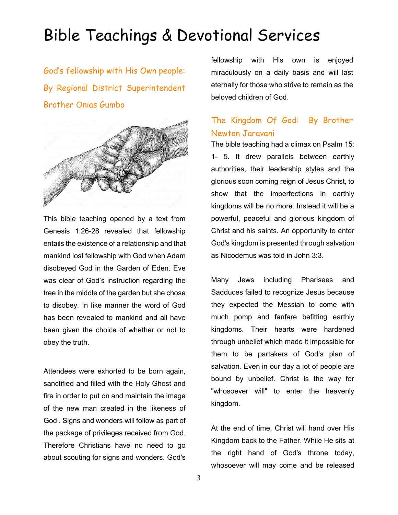# Bible Teachings & Devotional Services

God's fellowship with His Own people: By Regional District Superintendent Brother Onias Gumbo



This bible teaching opened by a text from Genesis 1:26-28 revealed that fellowship entails the existence of a relationship and that mankind lost fellowship with God when Adam disobeyed God in the Garden of Eden. Eve was clear of God's instruction regarding the tree in the middle of the garden but she chose to disobey. In like manner the word of God has been revealed to mankind and all have been given the choice of whether or not to obey the truth.

Attendees were exhorted to be born again, sanctified and filled with the Holy Ghost and fire in order to put on and maintain the image of the new man created in the likeness of God . Signs and wonders will follow as part of the package of privileges received from God. Therefore Christians have no need to go about scouting for signs and wonders. God's fellowship with His own is enjoyed miraculously on a daily basis and will last eternally for those who strive to remain as the beloved children of God.

### The Kingdom Of God: By Brother Newton Jaravani

The bible teaching had a climax on Psalm 15: 1- 5. It drew parallels between earthly authorities, their leadership styles and the glorious soon coming reign of Jesus Christ, to show that the imperfections in earthly kingdoms will be no more. Instead it will be a powerful, peaceful and glorious kingdom of Christ and his saints. An opportunity to enter God's kingdom is presented through salvation as Nicodemus was told in John 3:3.

Many Jews including Pharisees and Sadduces failed to recognize Jesus because they expected the Messiah to come with much pomp and fanfare befitting earthly kingdoms. Their hearts were hardened through unbelief which made it impossible for them to be partakers of God's plan of salvation. Even in our day a lot of people are bound by unbelief. Christ is the way for "whosoever will" to enter the heavenly kingdom.

At the end of time, Christ will hand over His Kingdom back to the Father. While He sits at the right hand of God's throne today, whosoever will may come and be released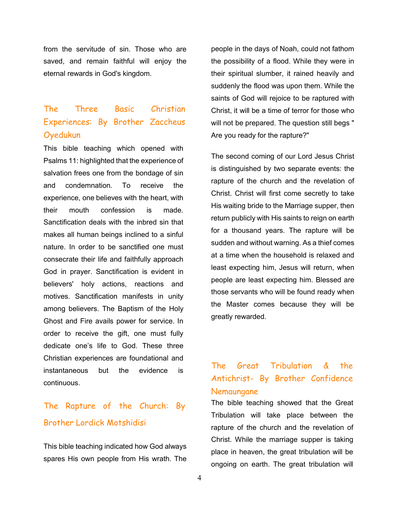from the servitude of sin. Those who are saved, and remain faithful will enjoy the eternal rewards in God's kingdom.

## The Three Basic Christian Experiences: By Brother Zaccheus Oyedukun

This bible teaching which opened with Psalms 11: highlighted that the experience of salvation frees one from the bondage of sin and condemnation. To receive the experience, one believes with the heart, with their mouth confession is made. Sanctification deals with the inbred sin that makes all human beings inclined to a sinful nature. In order to be sanctified one must consecrate their life and faithfully approach God in prayer. Sanctification is evident in believers' holy actions, reactions and motives. Sanctification manifests in unity among believers. The Baptism of the Holy Ghost and Fire avails power for service. In order to receive the gift, one must fully dedicate one's life to God. These three Christian experiences are foundational and instantaneous but the evidence is continuous.

## The Rapture of the Church: By Brother Lordick Motshidisi

This bible teaching indicated how God always spares His own people from His wrath. The people in the days of Noah, could not fathom the possibility of a flood. While they were in their spiritual slumber, it rained heavily and suddenly the flood was upon them. While the saints of God will rejoice to be raptured with Christ, it will be a time of terror for those who will not be prepared. The question still begs " Are you ready for the rapture?"

The second coming of our Lord Jesus Christ is distinguished by two separate events: the rapture of the church and the revelation of Christ. Christ will first come secretly to take His waiting bride to the Marriage supper, then return publicly with His saints to reign on earth for a thousand years. The rapture will be sudden and without warning. As a thief comes at a time when the household is relaxed and least expecting him, Jesus will return, when people are least expecting him. Blessed are those servants who will be found ready when the Master comes because they will be greatly rewarded.

### The Great Tribulation & the Antichrist- By Brother Confidence Nemaungane

The bible teaching showed that the Great Tribulation will take place between the rapture of the church and the revelation of Christ. While the marriage supper is taking place in heaven, the great tribulation will be ongoing on earth. The great tribulation will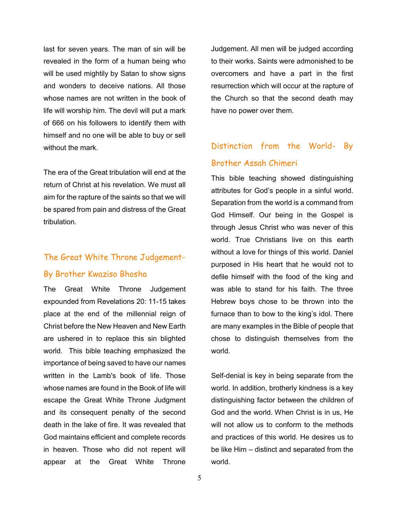last for seven years. The man of sin will be revealed in the form of a human being who will be used mightily by Satan to show signs and wonders to deceive nations. All those whose names are not written in the book of life will worship him. The devil will put a mark of 666 on his followers to identify them with himself and no one will be able to buy or sell without the mark.

The era of the Great tribulation will end at the return of Christ at his revelation. We must all aim for the rapture of the saints so that we will be spared from pain and distress of the Great tribulation.

## The Great White Throne Judgement-

#### By Brother Kwaziso Bhosha

The Great White Throne Judgement expounded from Revelations 20: 11-15 takes place at the end of the millennial reign of Christ before the New Heaven and New Earth are ushered in to replace this sin blighted world. This bible teaching emphasized the importance of being saved to have our names written in the Lamb's book of life. Those whose names are found in the Book of life will escape the Great White Throne Judgment and its consequent penalty of the second death in the lake of fire. It was revealed that God maintains efficient and complete records in heaven. Those who did not repent will appear at the Great White Throne

Judgement. All men will be judged according to their works. Saints were admonished to be overcomers and have a part in the first resurrection which will occur at the rapture of the Church so that the second death may have no power over them.

## Distinction from the World- By Brother Assah Chimeri

This bible teaching showed distinguishing attributes for God's people in a sinful world. Separation from the world is a command from God Himself. Our being in the Gospel is through Jesus Christ who was never of this world. True Christians live on this earth without a love for things of this world. Daniel purposed in His heart that he would not to defile himself with the food of the king and was able to stand for his faith. The three Hebrew boys chose to be thrown into the furnace than to bow to the king's idol. There are many examples in the Bible of people that chose to distinguish themselves from the world.

Self-denial is key in being separate from the world. In addition, brotherly kindness is a key distinguishing factor between the children of God and the world. When Christ is in us, He will not allow us to conform to the methods and practices of this world. He desires us to be like Him – distinct and separated from the world.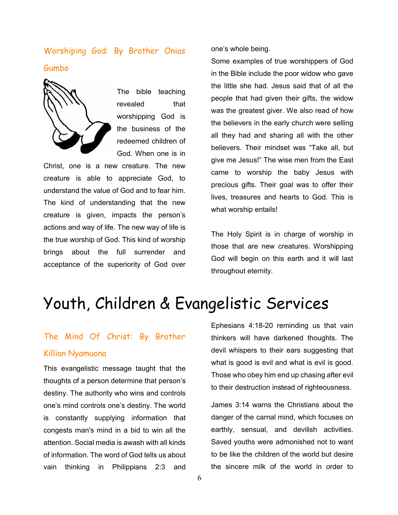## Worshiping God: By Brother Onias Gumbo



The bible teaching revealed that worshipping God is the business of the redeemed children of God. When one is in

Christ, one is a new creature. The new creature is able to appreciate God, to understand the value of God and to fear him. The kind of understanding that the new creature is given, impacts the person's actions and way of life. The new way of life is the true worship of God. This kind of worship brings about the full surrender and acceptance of the superiority of God over one's whole being.

Some examples of true worshippers of God in the Bible include the poor widow who gave the little she had. Jesus said that of all the people that had given their gifts, the widow was the greatest giver. We also read of how the believers in the early church were selling all they had and sharing all with the other believers. Their mindset was "Take all, but give me Jesus!" The wise men from the East came to worship the baby Jesus with precious gifts. Their goal was to offer their lives, treasures and hearts to God. This is what worship entails!

The Holy Spirit is in charge of worship in those that are new creatures. Worshipping God will begin on this earth and it will last throughout eternity.

# Youth, Children & Evangelistic Services

### The Mind Of Christ: By Brother

#### Killian Nyamuona

This evangelistic message taught that the thoughts of a person determine that person's destiny. The authority who wins and controls one's mind controls one's destiny. The world is constantly supplying information that congests man's mind in a bid to win all the attention. Social media is awash with all kinds of information. The word of God tells us about vain thinking in Philippians 2:3 and

Ephesians 4:18-20 reminding us that vain thinkers will have darkened thoughts. The devil whispers to their ears suggesting that what is good is evil and what is evil is good. Those who obey him end up chasing after evil to their destruction instead of righteousness.

James 3:14 warns the Christians about the danger of the carnal mind, which focuses on earthly, sensual, and devilish activities. Saved youths were admonished not to want to be like the children of the world but desire the sincere milk of the world in order to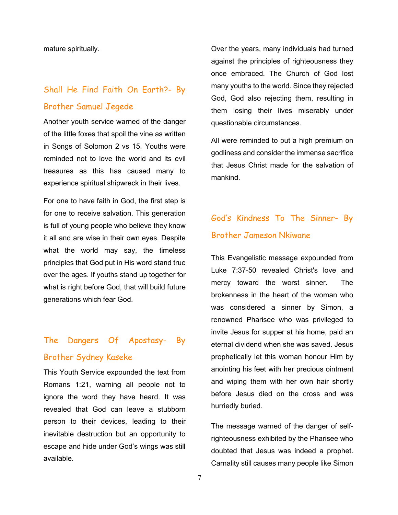mature spiritually.

## Shall He Find Faith On Earth?- By Brother Samuel Jegede

Another youth service warned of the danger of the little foxes that spoil the vine as written in Songs of Solomon 2 vs 15. Youths were reminded not to love the world and its evil treasures as this has caused many to experience spiritual shipwreck in their lives.

For one to have faith in God, the first step is for one to receive salvation. This generation is full of young people who believe they know it all and are wise in their own eyes. Despite what the world may say, the timeless principles that God put in His word stand true over the ages. If youths stand up together for what is right before God, that will build future generations which fear God.

# The Dangers Of Apostasy- By Brother Sydney Kaseke

This Youth Service expounded the text from Romans 1:21, warning all people not to ignore the word they have heard. It was revealed that God can leave a stubborn person to their devices, leading to their inevitable destruction but an opportunity to escape and hide under God's wings was still available.

Over the years, many individuals had turned against the principles of righteousness they once embraced. The Church of God lost many youths to the world. Since they rejected God, God also rejecting them, resulting in them losing their lives miserably under questionable circumstances.

All were reminded to put a high premium on godliness and consider the immense sacrifice that Jesus Christ made for the salvation of mankind.

## God's Kindness To The Sinner- By Brother Jameson Nkiwane

This Evangelistic message expounded from Luke 7:37-50 revealed Christ's love and mercy toward the worst sinner. The brokenness in the heart of the woman who was considered a sinner by Simon, a renowned Pharisee who was privileged to invite Jesus for supper at his home, paid an eternal dividend when she was saved. Jesus prophetically let this woman honour Him by anointing his feet with her precious ointment and wiping them with her own hair shortly before Jesus died on the cross and was hurriedly buried.

The message warned of the danger of selfrighteousness exhibited by the Pharisee who doubted that Jesus was indeed a prophet. Carnality still causes many people like Simon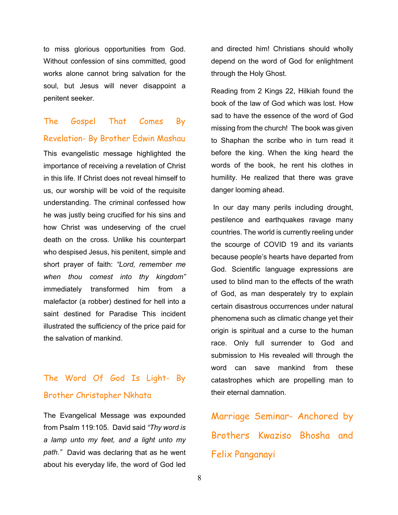to miss glorious opportunities from God. Without confession of sins committed, good works alone cannot bring salvation for the soul, but Jesus will never disappoint a penitent seeker.

# The Gospel That Comes By

#### Revelation- By Brother Edwin Mashau

This evangelistic message highlighted the importance of receiving a revelation of Christ in this life. If Christ does not reveal himself to us, our worship will be void of the requisite understanding. The criminal confessed how he was justly being crucified for his sins and how Christ was undeserving of the cruel death on the cross. Unlike his counterpart who despised Jesus, his penitent, simple and short prayer of faith: *"Lord, remember me when thou comest into thy kingdom"*  immediately transformed him from a malefactor (a robber) destined for hell into a saint destined for Paradise This incident illustrated the sufficiency of the price paid for the salvation of mankind.

## The Word Of God Is Light- By Brother Christopher Nkhata

The Evangelical Message was expounded from Psalm 119:105. David said *"Thy word is a lamp unto my feet, and a light unto my path."* David was declaring that as he went about his everyday life, the word of God led

and directed him! Christians should wholly depend on the word of God for enlightment through the Holy Ghost.

Reading from 2 Kings 22, Hilkiah found the book of the law of God which was lost. How sad to have the essence of the word of God missing from the church! The book was given to Shaphan the scribe who in turn read it before the king. When the king heard the words of the book, he rent his clothes in humility. He realized that there was grave danger looming ahead.

In our day many perils including drought, pestilence and earthquakes ravage many countries. The world is currently reeling under the scourge of COVID 19 and its variants because people's hearts have departed from God. Scientific language expressions are used to blind man to the effects of the wrath of God, as man desperately try to explain certain disastrous occurrences under natural phenomena such as climatic change yet their origin is spiritual and a curse to the human race. Only full surrender to God and submission to His revealed will through the word can save mankind from these catastrophes which are propelling man to their eternal damnation.

Marriage Seminar- Anchored by Brothers Kwaziso Bhosha and Felix Panganayi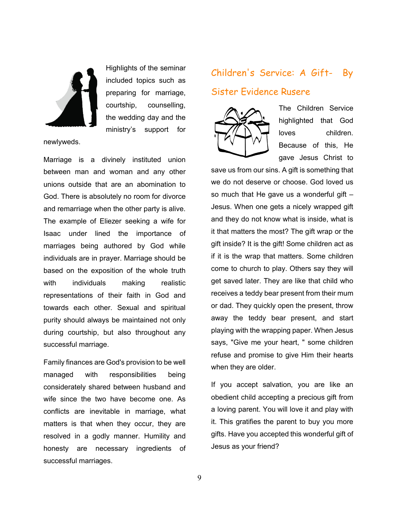

Highlights of the seminar included topics such as preparing for marriage, courtship, counselling, the wedding day and the ministry's support for

newlyweds.

Marriage is a divinely instituted union between man and woman and any other unions outside that are an abomination to God. There is absolutely no room for divorce and remarriage when the other party is alive. The example of Eliezer seeking a wife for Isaac under lined the importance of marriages being authored by God while individuals are in prayer. Marriage should be based on the exposition of the whole truth with individuals making realistic representations of their faith in God and towards each other. Sexual and spiritual purity should always be maintained not only during courtship, but also throughout any successful marriage.

Family finances are God's provision to be well managed with responsibilities being considerately shared between husband and wife since the two have become one. As conflicts are inevitable in marriage, what matters is that when they occur, they are resolved in a godly manner. Humility and honesty are necessary ingredients of successful marriages.

# Children's Service: A Gift- By Sister Evidence Rusere



The Children Service highlighted that God loves children. Because of this, He gave Jesus Christ to

save us from our sins. A gift is something that we do not deserve or choose. God loved us so much that He gave us a wonderful gift  $-$ Jesus. When one gets a nicely wrapped gift and they do not know what is inside, what is it that matters the most? The gift wrap or the gift inside? It is the gift! Some children act as if it is the wrap that matters. Some children come to church to play. Others say they will get saved later. They are like that child who receives a teddy bear present from their mum or dad. They quickly open the present, throw away the teddy bear present, and start playing with the wrapping paper. When Jesus says, "Give me your heart, " some children refuse and promise to give Him their hearts when they are older.

If you accept salvation, you are like an obedient child accepting a precious gift from a loving parent. You will love it and play with it. This gratifies the parent to buy you more gifts. Have you accepted this wonderful gift of Jesus as your friend?